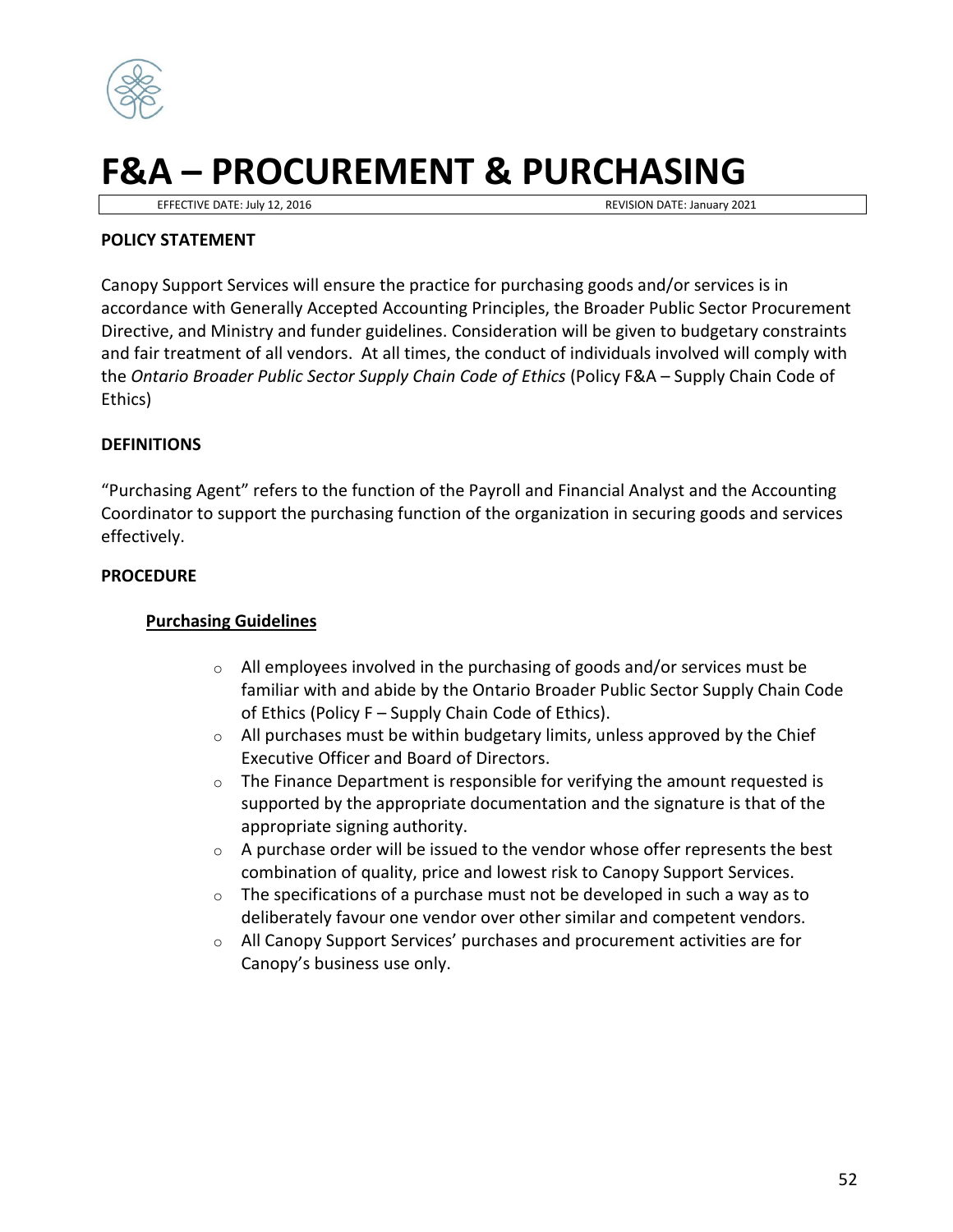

# **F&A – PROCUREMENT & PURCHASING**

EFFECTIVE DATE: July 12, 2016 REVISION DATE: January 2021

#### **POLICY STATEMENT**

Canopy Support Services will ensure the practice for purchasing goods and/or services is in accordance with Generally Accepted Accounting Principles, the Broader Public Sector Procurement Directive, and Ministry and funder guidelines. Consideration will be given to budgetary constraints and fair treatment of all vendors. At all times, the conduct of individuals involved will comply with the *Ontario Broader Public Sector Supply Chain Code of Ethics* (Policy F&A – Supply Chain Code of Ethics)

#### **DEFINITIONS**

"Purchasing Agent" refers to the function of the Payroll and Financial Analyst and the Accounting Coordinator to support the purchasing function of the organization in securing goods and services effectively.

#### **PROCEDURE**

### **Purchasing Guidelines**

- o All employees involved in the purchasing of goods and/or services must be familiar with and abide by the Ontario Broader Public Sector Supply Chain Code of Ethics (Policy F – Supply Chain Code of Ethics).
- $\circ$  All purchases must be within budgetary limits, unless approved by the Chief Executive Officer and Board of Directors.
- $\circ$  The Finance Department is responsible for verifying the amount requested is supported by the appropriate documentation and the signature is that of the appropriate signing authority.
- $\circ$  A purchase order will be issued to the vendor whose offer represents the best combination of quality, price and lowest risk to Canopy Support Services.
- $\circ$  The specifications of a purchase must not be developed in such a way as to deliberately favour one vendor over other similar and competent vendors.
- o All Canopy Support Services' purchases and procurement activities are for Canopy's business use only.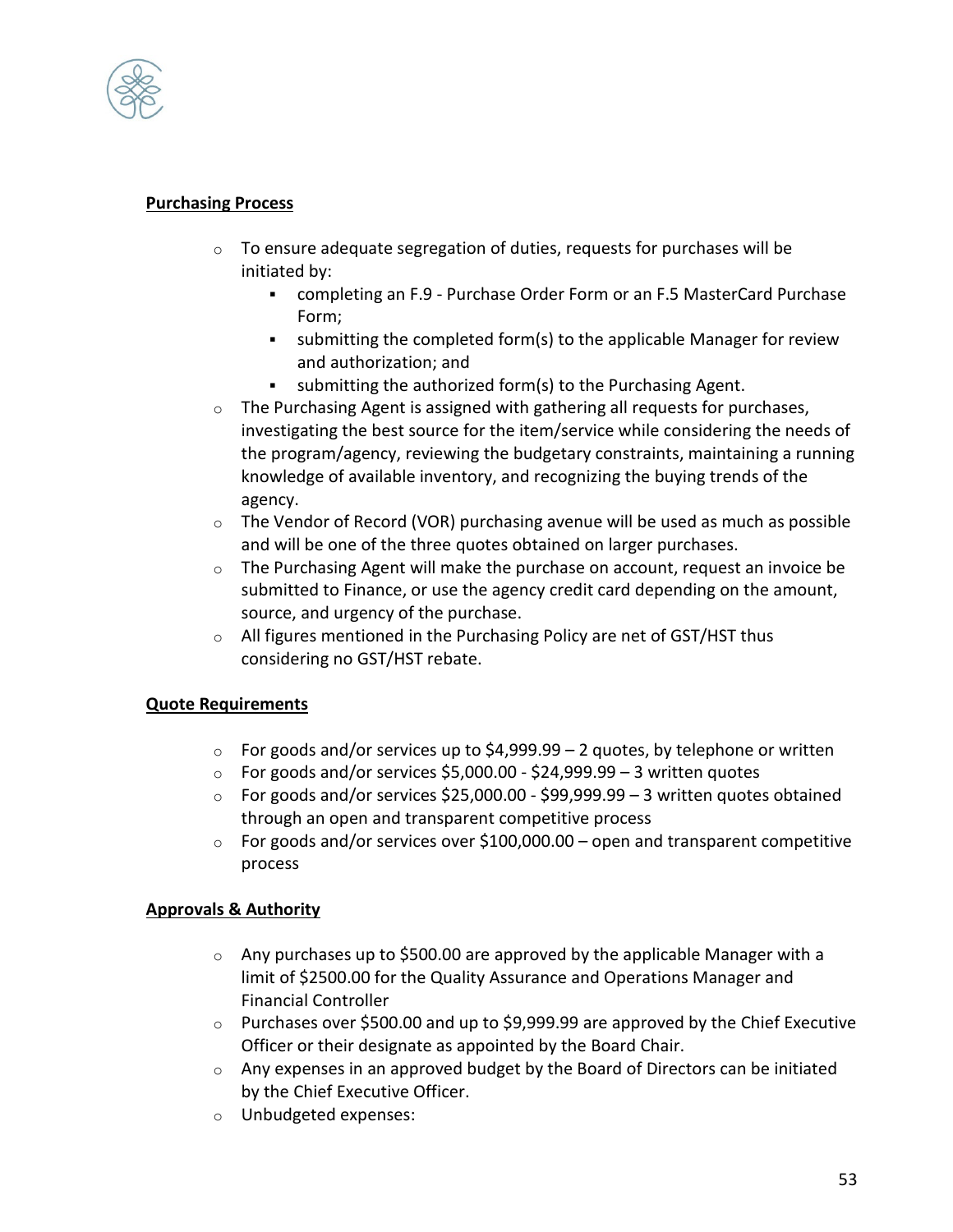

## **Purchasing Process**

- o To ensure adequate segregation of duties, requests for purchases will be initiated by:
	- completing an F.9 Purchase Order Form or an F.5 MasterCard Purchase Form;
	- submitting the completed form(s) to the applicable Manager for review and authorization; and
	- submitting the authorized form(s) to the Purchasing Agent.
- $\circ$  The Purchasing Agent is assigned with gathering all requests for purchases, investigating the best source for the item/service while considering the needs of the program/agency, reviewing the budgetary constraints, maintaining a running knowledge of available inventory, and recognizing the buying trends of the agency.
- $\circ$  The Vendor of Record (VOR) purchasing avenue will be used as much as possible and will be one of the three quotes obtained on larger purchases.
- $\circ$  The Purchasing Agent will make the purchase on account, request an invoice be submitted to Finance, or use the agency credit card depending on the amount, source, and urgency of the purchase.
- $\circ$  All figures mentioned in the Purchasing Policy are net of GST/HST thus considering no GST/HST rebate.

## **Quote Requirements**

- $\circ$  For goods and/or services up to \$4,999.99 2 quotes, by telephone or written
- $\circ$  For goods and/or services \$5,000.00 \$24,999.99 3 written quotes
- $\circ$  For goods and/or services \$25,000.00 \$99,999.99 3 written quotes obtained through an open and transparent competitive process
- $\circ$  For goods and/or services over \$100,000.00 open and transparent competitive process

## **Approvals & Authority**

- $\circ$  Any purchases up to \$500.00 are approved by the applicable Manager with a limit of \$2500.00 for the Quality Assurance and Operations Manager and Financial Controller
- $\circ$  Purchases over \$500.00 and up to \$9,999.99 are approved by the Chief Executive Officer or their designate as appointed by the Board Chair.
- o Any expenses in an approved budget by the Board of Directors can be initiated by the Chief Executive Officer.
- o Unbudgeted expenses: